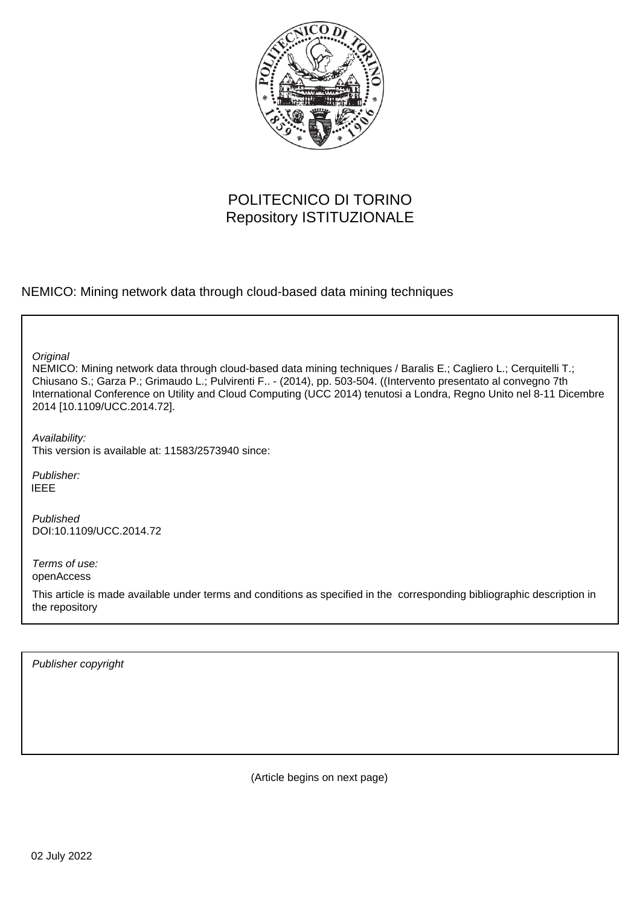

# POLITECNICO DI TORINO Repository ISTITUZIONALE

NEMICO: Mining network data through cloud-based data mining techniques

**Original** 

NEMICO: Mining network data through cloud-based data mining techniques / Baralis E.; Cagliero L.; Cerquitelli T.; Chiusano S.; Garza P.; Grimaudo L.; Pulvirenti F.. - (2014), pp. 503-504. ((Intervento presentato al convegno 7th International Conference on Utility and Cloud Computing (UCC 2014) tenutosi a Londra, Regno Unito nel 8-11 Dicembre 2014 [10.1109/UCC.2014.72].

Availability: This version is available at: 11583/2573940 since:

Publisher: IEEE

Published DOI:10.1109/UCC.2014.72

Terms of use: openAccess

This article is made available under terms and conditions as specified in the corresponding bibliographic description in the repository

Publisher copyright

(Article begins on next page)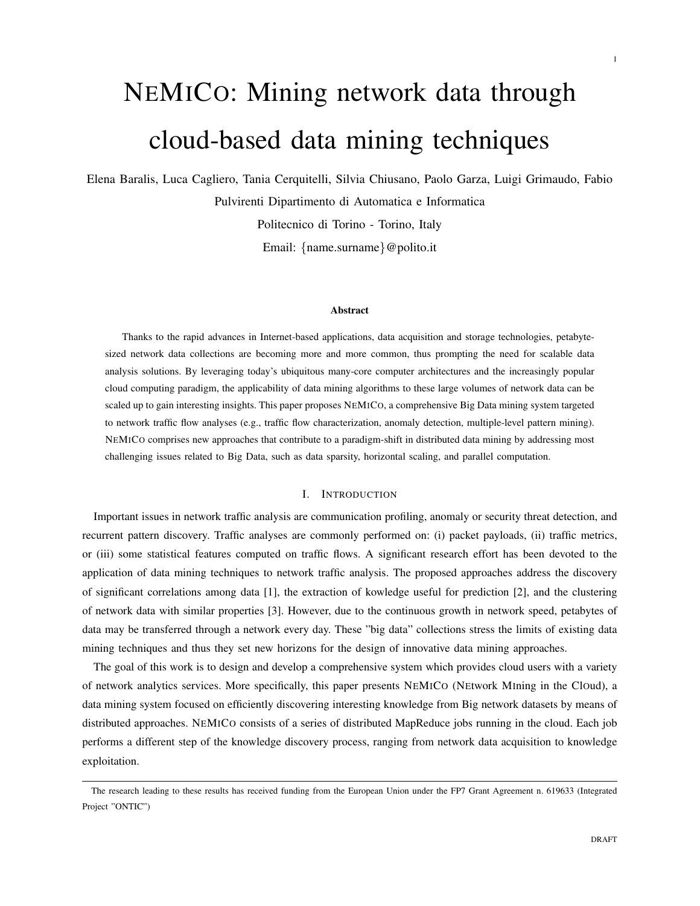# NEMICO: Mining network data through cloud-based data mining techniques

Elena Baralis, Luca Cagliero, Tania Cerquitelli, Silvia Chiusano, Paolo Garza, Luigi Grimaudo, Fabio

Pulvirenti Dipartimento di Automatica e Informatica

Politecnico di Torino - Torino, Italy

Email: *{*name.surname*}*@polito.it

#### Abstract

Thanks to the rapid advances in Internet-based applications, data acquisition and storage technologies, petabytesized network data collections are becoming more and more common, thus prompting the need for scalable data analysis solutions. By leveraging today's ubiquitous many-core computer architectures and the increasingly popular cloud computing paradigm, the applicability of data mining algorithms to these large volumes of network data can be scaled up to gain interesting insights. This paper proposes NEMICO, a comprehensive Big Data mining system targeted to network traffic flow analyses (e.g., traffic flow characterization, anomaly detection, multiple-level pattern mining). NEMICO comprises new approaches that contribute to a paradigm-shift in distributed data mining by addressing most challenging issues related to Big Data, such as data sparsity, horizontal scaling, and parallel computation.

# I. INTRODUCTION

Important issues in network traffic analysis are communication profiling, anomaly or security threat detection, and recurrent pattern discovery. Traffic analyses are commonly performed on: (i) packet payloads, (ii) traffic metrics, or (iii) some statistical features computed on traffic flows. A significant research effort has been devoted to the application of data mining techniques to network traffic analysis. The proposed approaches address the discovery of significant correlations among data [1], the extraction of kowledge useful for prediction [2], and the clustering of network data with similar properties [3]. However, due to the continuous growth in network speed, petabytes of data may be transferred through a network every day. These "big data" collections stress the limits of existing data mining techniques and thus they set new horizons for the design of innovative data mining approaches.

The goal of this work is to design and develop a comprehensive system which provides cloud users with a variety of network analytics services. More specifically, this paper presents NEMICO (NEtwork MIning in the ClOud), a data mining system focused on efficiently discovering interesting knowledge from Big network datasets by means of distributed approaches. NEMICO consists of a series of distributed MapReduce jobs running in the cloud. Each job performs a different step of the knowledge discovery process, ranging from network data acquisition to knowledge exploitation.

1

The research leading to these results has received funding from the European Union under the FP7 Grant Agreement n. 619633 (Integrated Project "ONTIC")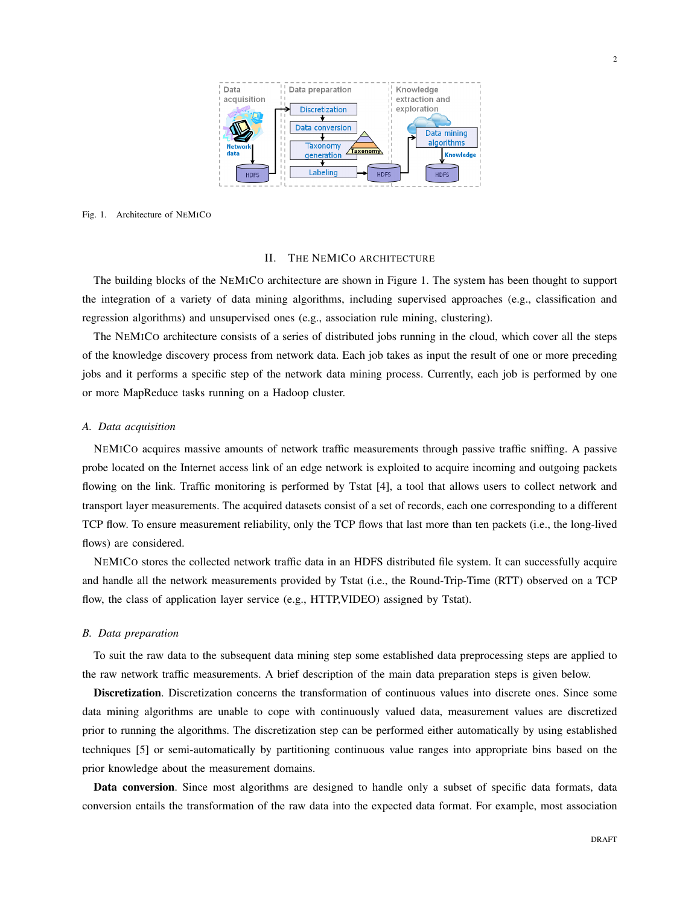

#### Fig. 1. Architecture of NEMICO

#### II. THE NEMICO ARCHITECTURE

The building blocks of the NEMICO architecture are shown in Figure 1. The system has been thought to support the integration of a variety of data mining algorithms, including supervised approaches (e.g., classification and regression algorithms) and unsupervised ones (e.g., association rule mining, clustering).

The NEMICO architecture consists of a series of distributed jobs running in the cloud, which cover all the steps of the knowledge discovery process from network data. Each job takes as input the result of one or more preceding jobs and it performs a specific step of the network data mining process. Currently, each job is performed by one or more MapReduce tasks running on a Hadoop cluster.

## *A. Data acquisition*

NEMICO acquires massive amounts of network traffic measurements through passive traffic sniffing. A passive probe located on the Internet access link of an edge network is exploited to acquire incoming and outgoing packets flowing on the link. Traffic monitoring is performed by Tstat [4], a tool that allows users to collect network and transport layer measurements. The acquired datasets consist of a set of records, each one corresponding to a different TCP flow. To ensure measurement reliability, only the TCP flows that last more than ten packets (i.e., the long-lived flows) are considered.

NEMICO stores the collected network traffic data in an HDFS distributed file system. It can successfully acquire and handle all the network measurements provided by Tstat (i.e., the Round-Trip-Time (RTT) observed on a TCP flow, the class of application layer service (e.g., HTTP,VIDEO) assigned by Tstat).

# *B. Data preparation*

To suit the raw data to the subsequent data mining step some established data preprocessing steps are applied to the raw network traffic measurements. A brief description of the main data preparation steps is given below.

Discretization. Discretization concerns the transformation of continuous values into discrete ones. Since some data mining algorithms are unable to cope with continuously valued data, measurement values are discretized prior to running the algorithms. The discretization step can be performed either automatically by using established techniques [5] or semi-automatically by partitioning continuous value ranges into appropriate bins based on the prior knowledge about the measurement domains.

Data conversion. Since most algorithms are designed to handle only a subset of specific data formats, data conversion entails the transformation of the raw data into the expected data format. For example, most association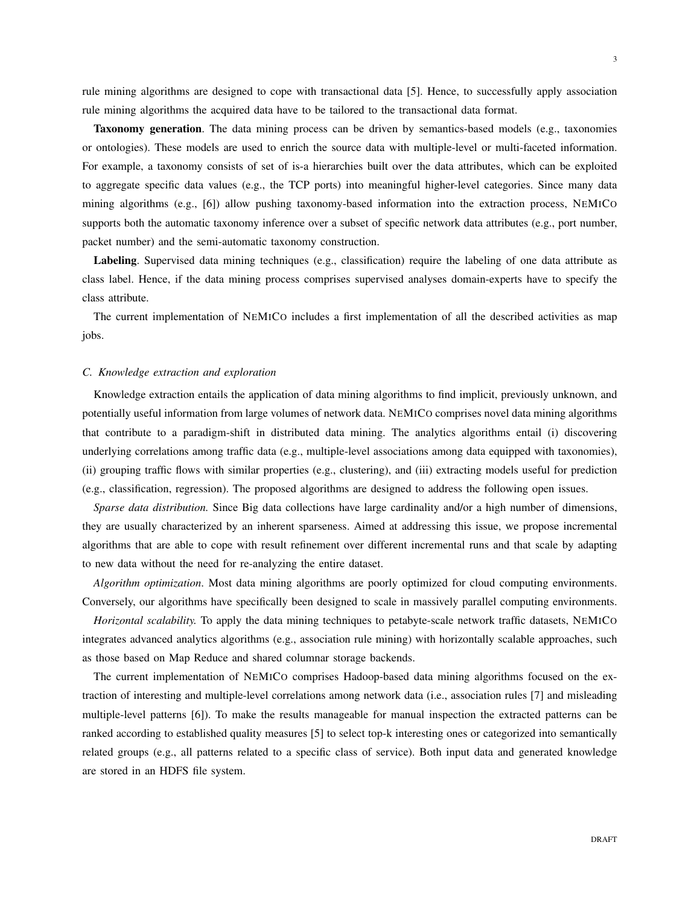rule mining algorithms are designed to cope with transactional data [5]. Hence, to successfully apply association rule mining algorithms the acquired data have to be tailored to the transactional data format.

Taxonomy generation. The data mining process can be driven by semantics-based models (e.g., taxonomies or ontologies). These models are used to enrich the source data with multiple-level or multi-faceted information. For example, a taxonomy consists of set of is-a hierarchies built over the data attributes, which can be exploited to aggregate specific data values (e.g., the TCP ports) into meaningful higher-level categories. Since many data mining algorithms (e.g., [6]) allow pushing taxonomy-based information into the extraction process, NEMICO supports both the automatic taxonomy inference over a subset of specific network data attributes (e.g., port number, packet number) and the semi-automatic taxonomy construction.

Labeling. Supervised data mining techniques (e.g., classification) require the labeling of one data attribute as class label. Hence, if the data mining process comprises supervised analyses domain-experts have to specify the class attribute.

The current implementation of NEMICO includes a first implementation of all the described activities as map jobs.

### *C. Knowledge extraction and exploration*

Knowledge extraction entails the application of data mining algorithms to find implicit, previously unknown, and potentially useful information from large volumes of network data. NEMICO comprises novel data mining algorithms that contribute to a paradigm-shift in distributed data mining. The analytics algorithms entail (i) discovering underlying correlations among traffic data (e.g., multiple-level associations among data equipped with taxonomies), (ii) grouping traffic flows with similar properties (e.g., clustering), and (iii) extracting models useful for prediction (e.g., classification, regression). The proposed algorithms are designed to address the following open issues.

*Sparse data distribution.* Since Big data collections have large cardinality and/or a high number of dimensions, they are usually characterized by an inherent sparseness. Aimed at addressing this issue, we propose incremental algorithms that are able to cope with result refinement over different incremental runs and that scale by adapting to new data without the need for re-analyzing the entire dataset.

*Algorithm optimization*. Most data mining algorithms are poorly optimized for cloud computing environments. Conversely, our algorithms have specifically been designed to scale in massively parallel computing environments.

*Horizontal scalability.* To apply the data mining techniques to petabyte-scale network traffic datasets, NEMICO integrates advanced analytics algorithms (e.g., association rule mining) with horizontally scalable approaches, such as those based on Map Reduce and shared columnar storage backends.

The current implementation of NEMICO comprises Hadoop-based data mining algorithms focused on the extraction of interesting and multiple-level correlations among network data (i.e., association rules [7] and misleading multiple-level patterns [6]). To make the results manageable for manual inspection the extracted patterns can be ranked according to established quality measures [5] to select top-k interesting ones or categorized into semantically related groups (e.g., all patterns related to a specific class of service). Both input data and generated knowledge are stored in an HDFS file system.